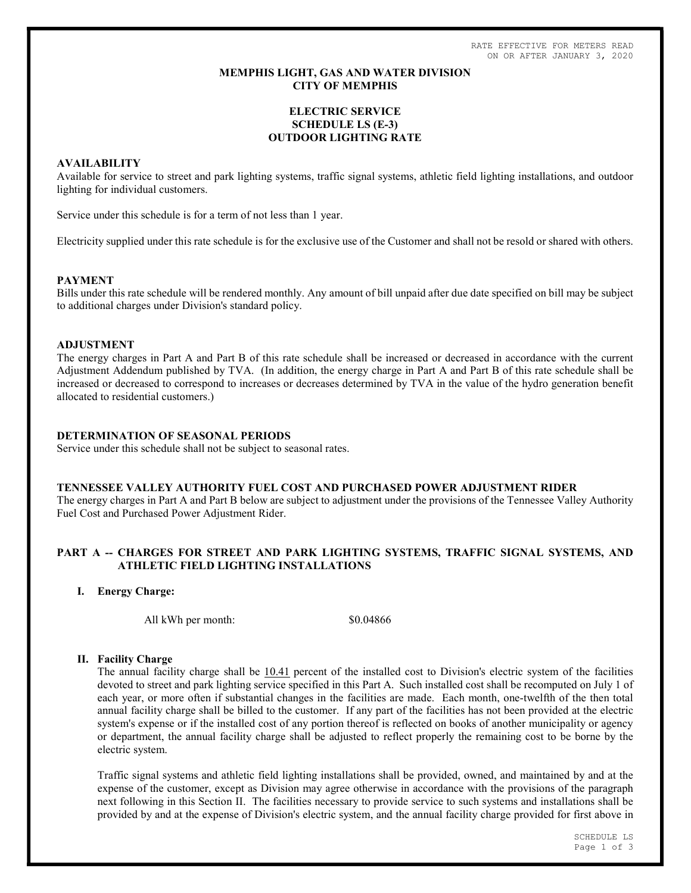RATE EFFECTIVE FOR METERS READ ON OR AFTER JANUARY 3, 2020

## MEMPHIS LIGHT, GAS AND WATER DIVISION CITY OF MEMPHIS

# ELECTRIC SERVICE SCHEDULE LS (E-3) OUTDOOR LIGHTING RATE

# AVAILABILITY

Available for service to street and park lighting systems, traffic signal systems, athletic field lighting installations, and outdoor lighting for individual customers.

Service under this schedule is for a term of not less than 1 year.

Electricity supplied under this rate schedule is for the exclusive use of the Customer and shall not be resold or shared with others.

### PAYMENT

Bills under this rate schedule will be rendered monthly. Any amount of bill unpaid after due date specified on bill may be subject to additional charges under Division's standard policy.

### ADJUSTMENT

The energy charges in Part A and Part B of this rate schedule shall be increased or decreased in accordance with the current Adjustment Addendum published by TVA. (In addition, the energy charge in Part A and Part B of this rate schedule shall be increased or decreased to correspond to increases or decreases determined by TVA in the value of the hydro generation benefit allocated to residential customers.)

# DETERMINATION OF SEASONAL PERIODS

Service under this schedule shall not be subject to seasonal rates.

#### TENNESSEE VALLEY AUTHORITY FUEL COST AND PURCHASED POWER ADJUSTMENT RIDER

The energy charges in Part A and Part B below are subject to adjustment under the provisions of the Tennessee Valley Authority Fuel Cost and Purchased Power Adjustment Rider.

# PART A -- CHARGES FOR STREET AND PARK LIGHTING SYSTEMS, TRAFFIC SIGNAL SYSTEMS, AND ATHLETIC FIELD LIGHTING INSTALLATIONS

I. Energy Charge:

All kWh per month:  $$0.04866$ 

### II. Facility Charge

The annual facility charge shall be 10.41 percent of the installed cost to Division's electric system of the facilities devoted to street and park lighting service specified in this Part A. Such installed cost shall be recomputed on July 1 of each year, or more often if substantial changes in the facilities are made. Each month, one-twelfth of the then total annual facility charge shall be billed to the customer. If any part of the facilities has not been provided at the electric system's expense or if the installed cost of any portion thereof is reflected on books of another municipality or agency or department, the annual facility charge shall be adjusted to reflect properly the remaining cost to be borne by the electric system.

Traffic signal systems and athletic field lighting installations shall be provided, owned, and maintained by and at the expense of the customer, except as Division may agree otherwise in accordance with the provisions of the paragraph next following in this Section II. The facilities necessary to provide service to such systems and installations shall be provided by and at the expense of Division's electric system, and the annual facility charge provided for first above in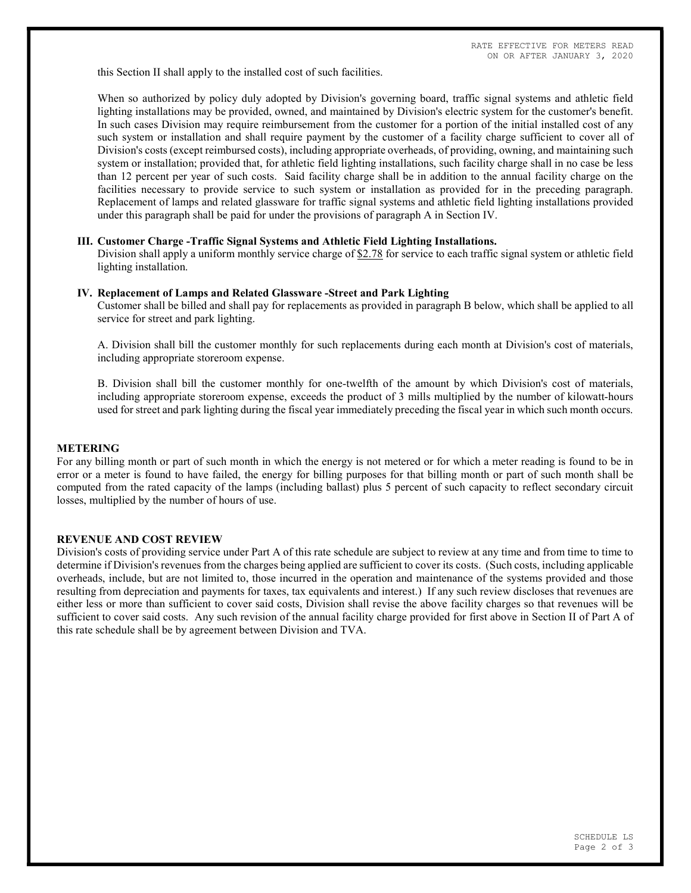this Section II shall apply to the installed cost of such facilities.

When so authorized by policy duly adopted by Division's governing board, traffic signal systems and athletic field lighting installations may be provided, owned, and maintained by Division's electric system for the customer's benefit. In such cases Division may require reimbursement from the customer for a portion of the initial installed cost of any such system or installation and shall require payment by the customer of a facility charge sufficient to cover all of Division's costs (except reimbursed costs), including appropriate overheads, of providing, owning, and maintaining such system or installation; provided that, for athletic field lighting installations, such facility charge shall in no case be less than 12 percent per year of such costs. Said facility charge shall be in addition to the annual facility charge on the facilities necessary to provide service to such system or installation as provided for in the preceding paragraph. Replacement of lamps and related glassware for traffic signal systems and athletic field lighting installations provided under this paragraph shall be paid for under the provisions of paragraph A in Section IV.

#### III. Customer Charge -Traffic Signal Systems and Athletic Field Lighting Installations.

Division shall apply a uniform monthly service charge of \$2.78 for service to each traffic signal system or athletic field lighting installation.

#### IV. Replacement of Lamps and Related Glassware -Street and Park Lighting

Customer shall be billed and shall pay for replacements as provided in paragraph B below, which shall be applied to all service for street and park lighting.

A. Division shall bill the customer monthly for such replacements during each month at Division's cost of materials, including appropriate storeroom expense.

B. Division shall bill the customer monthly for one-twelfth of the amount by which Division's cost of materials, including appropriate storeroom expense, exceeds the product of 3 mills multiplied by the number of kilowatt-hours used for street and park lighting during the fiscal year immediately preceding the fiscal year in which such month occurs.

#### METERING

For any billing month or part of such month in which the energy is not metered or for which a meter reading is found to be in error or a meter is found to have failed, the energy for billing purposes for that billing month or part of such month shall be computed from the rated capacity of the lamps (including ballast) plus 5 percent of such capacity to reflect secondary circuit losses, multiplied by the number of hours of use.

### REVENUE AND COST REVIEW

Division's costs of providing service under Part A of this rate schedule are subject to review at any time and from time to time to determine if Division's revenues from the charges being applied are sufficient to cover its costs. (Such costs, including applicable overheads, include, but are not limited to, those incurred in the operation and maintenance of the systems provided and those resulting from depreciation and payments for taxes, tax equivalents and interest.) If any such review discloses that revenues are either less or more than sufficient to cover said costs, Division shall revise the above facility charges so that revenues will be sufficient to cover said costs. Any such revision of the annual facility charge provided for first above in Section II of Part A of this rate schedule shall be by agreement between Division and TVA.